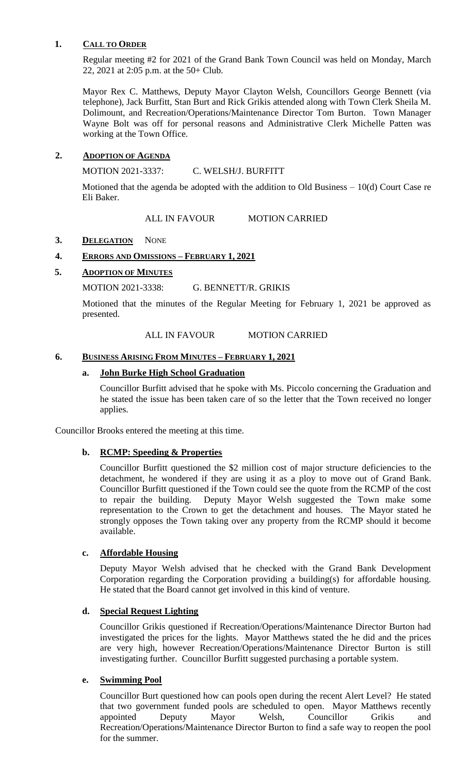### **1. CALL TO ORDER**

Regular meeting #2 for 2021 of the Grand Bank Town Council was held on Monday, March 22, 2021 at 2:05 p.m. at the 50+ Club.

Mayor Rex C. Matthews, Deputy Mayor Clayton Welsh, Councillors George Bennett (via telephone), Jack Burfitt, Stan Burt and Rick Grikis attended along with Town Clerk Sheila M. Dolimount, and Recreation/Operations/Maintenance Director Tom Burton. Town Manager Wayne Bolt was off for personal reasons and Administrative Clerk Michelle Patten was working at the Town Office.

### **2. ADOPTION OF AGENDA**

MOTION 2021-3337: C. WELSH/J. BURFITT

Motioned that the agenda be adopted with the addition to Old Business – 10(d) Court Case re Eli Baker.

#### ALL IN FAVOUR MOTION CARRIED

### 3. **DELEGATION** NONE

### **4. ERRORS AND OMISSIONS – FEBRUARY 1, 2021**

### **5. ADOPTION OF MINUTES**

#### MOTION 2021-3338: G. BENNETT/R. GRIKIS

Motioned that the minutes of the Regular Meeting for February 1, 2021 be approved as presented.

#### ALL IN FAVOUR MOTION CARRIED

#### **6. BUSINESS ARISING FROM MINUTES – FEBRUARY 1, 2021**

#### **a. John Burke High School Graduation**

Councillor Burfitt advised that he spoke with Ms. Piccolo concerning the Graduation and he stated the issue has been taken care of so the letter that the Town received no longer applies.

Councillor Brooks entered the meeting at this time.

### **b. RCMP: Speeding & Properties**

Councillor Burfitt questioned the \$2 million cost of major structure deficiencies to the detachment, he wondered if they are using it as a ploy to move out of Grand Bank. Councillor Burfitt questioned if the Town could see the quote from the RCMP of the cost to repair the building. Deputy Mayor Welsh suggested the Town make some representation to the Crown to get the detachment and houses. The Mayor stated he strongly opposes the Town taking over any property from the RCMP should it become available.

### **c. Affordable Housing**

Deputy Mayor Welsh advised that he checked with the Grand Bank Development Corporation regarding the Corporation providing a building(s) for affordable housing. He stated that the Board cannot get involved in this kind of venture.

### **d. Special Request Lighting**

Councillor Grikis questioned if Recreation/Operations/Maintenance Director Burton had investigated the prices for the lights. Mayor Matthews stated the he did and the prices are very high, however Recreation/Operations/Maintenance Director Burton is still investigating further. Councillor Burfitt suggested purchasing a portable system.

### **e. Swimming Pool**

Councillor Burt questioned how can pools open during the recent Alert Level? He stated that two government funded pools are scheduled to open. Mayor Matthews recently appointed Deputy Mayor Welsh, Councillor Grikis and Recreation/Operations/Maintenance Director Burton to find a safe way to reopen the pool for the summer.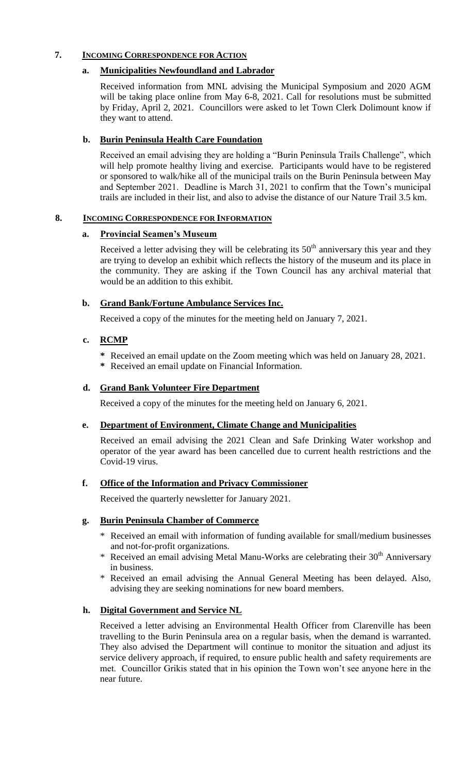### **7. INCOMING CORRESPONDENCE FOR ACTION**

### **a. Municipalities Newfoundland and Labrador**

Received information from MNL advising the Municipal Symposium and 2020 AGM will be taking place online from May 6-8, 2021. Call for resolutions must be submitted by Friday, April 2, 2021. Councillors were asked to let Town Clerk Dolimount know if they want to attend.

# **b. Burin Peninsula Health Care Foundation**

Received an email advising they are holding a "Burin Peninsula Trails Challenge", which will help promote healthy living and exercise. Participants would have to be registered or sponsored to walk/hike all of the municipal trails on the Burin Peninsula between May and September 2021. Deadline is March 31, 2021 to confirm that the Town's municipal trails are included in their list, and also to advise the distance of our Nature Trail 3.5 km.

### **8. INCOMING CORRESPONDENCE FOR INFORMATION**

### **a. Provincial Seamen's Museum**

Received a letter advising they will be celebrating its  $50<sup>th</sup>$  anniversary this year and they are trying to develop an exhibit which reflects the history of the museum and its place in the community. They are asking if the Town Council has any archival material that would be an addition to this exhibit.

### **b. Grand Bank/Fortune Ambulance Services Inc.**

Received a copy of the minutes for the meeting held on January 7, 2021.

## **c. RCMP**

- **\*** Received an email update on the Zoom meeting which was held on January 28, 2021.
- **\*** Received an email update on Financial Information.

### **d. Grand Bank Volunteer Fire Department**

Received a copy of the minutes for the meeting held on January 6, 2021.

## **e. Department of Environment, Climate Change and Municipalities**

Received an email advising the 2021 Clean and Safe Drinking Water workshop and operator of the year award has been cancelled due to current health restrictions and the Covid-19 virus.

## **f. Office of the Information and Privacy Commissioner**

Received the quarterly newsletter for January 2021.

## **g. Burin Peninsula Chamber of Commerce**

- \* Received an email with information of funding available for small/medium businesses and not-for-profit organizations.
- \* Received an email advising Metal Manu-Works are celebrating their  $30<sup>th</sup>$  Anniversary in business.
- \* Received an email advising the Annual General Meeting has been delayed. Also, advising they are seeking nominations for new board members.

## **h. Digital Government and Service NL**

Received a letter advising an Environmental Health Officer from Clarenville has been travelling to the Burin Peninsula area on a regular basis, when the demand is warranted. They also advised the Department will continue to monitor the situation and adjust its service delivery approach, if required, to ensure public health and safety requirements are met. Councillor Grikis stated that in his opinion the Town won't see anyone here in the near future.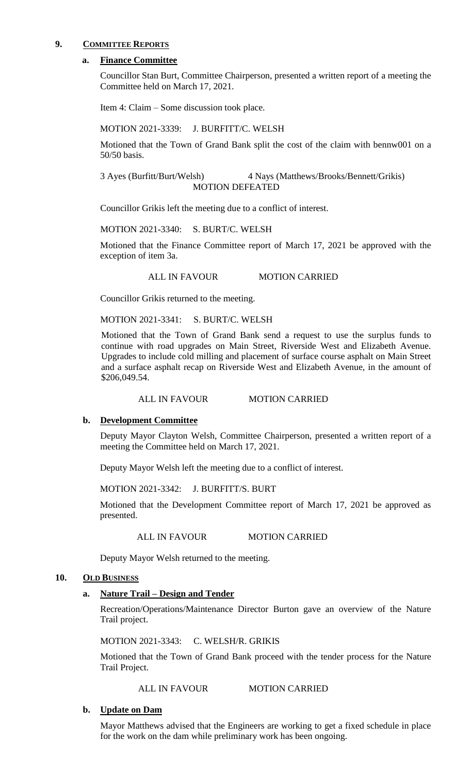### **9. COMMITTEE REPORTS**

#### **a. Finance Committee**

Councillor Stan Burt, Committee Chairperson, presented a written report of a meeting the Committee held on March 17, 2021.

Item 4: Claim – Some discussion took place.

MOTION 2021-3339: J. BURFITT/C. WELSH

Motioned that the Town of Grand Bank split the cost of the claim with bennw001 on a 50/50 basis.

3 Ayes (Burfitt/Burt/Welsh) 4 Nays (Matthews/Brooks/Bennett/Grikis) MOTION DEFEATED

Councillor Grikis left the meeting due to a conflict of interest.

MOTION 2021-3340: S. BURT/C. WELSH

Motioned that the Finance Committee report of March 17, 2021 be approved with the exception of item 3a.

ALL IN FAVOUR MOTION CARRIED

Councillor Grikis returned to the meeting.

MOTION 2021-3341: S. BURT/C. WELSH

Motioned that the Town of Grand Bank send a request to use the surplus funds to continue with road upgrades on Main Street, Riverside West and Elizabeth Avenue. Upgrades to include cold milling and placement of surface course asphalt on Main Street and a surface asphalt recap on Riverside West and Elizabeth Avenue, in the amount of \$206,049.54.

ALL IN FAVOUR MOTION CARRIED

#### **b. Development Committee**

Deputy Mayor Clayton Welsh, Committee Chairperson, presented a written report of a meeting the Committee held on March 17, 2021.

Deputy Mayor Welsh left the meeting due to a conflict of interest.

MOTION 2021-3342: J. BURFITT/S. BURT

Motioned that the Development Committee report of March 17, 2021 be approved as presented.

ALL IN FAVOUR MOTION CARRIED

Deputy Mayor Welsh returned to the meeting.

#### **10. OLD BUSINESS**

#### **a. Nature Trail – Design and Tender**

Recreation/Operations/Maintenance Director Burton gave an overview of the Nature Trail project.

MOTION 2021-3343: C. WELSH/R. GRIKIS

Motioned that the Town of Grand Bank proceed with the tender process for the Nature Trail Project.

#### ALL IN FAVOUR MOTION CARRIED

### **b. Update on Dam**

Mayor Matthews advised that the Engineers are working to get a fixed schedule in place for the work on the dam while preliminary work has been ongoing.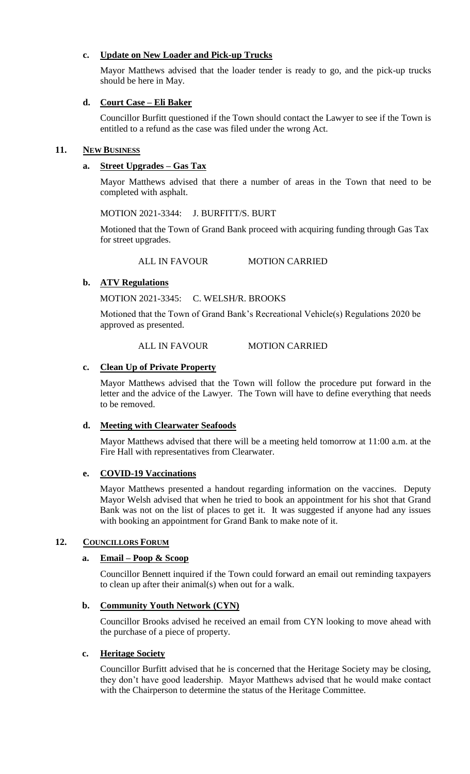### **c. Update on New Loader and Pick-up Trucks**

Mayor Matthews advised that the loader tender is ready to go, and the pick-up trucks should be here in May.

# **d. Court Case – Eli Baker**

Councillor Burfitt questioned if the Town should contact the Lawyer to see if the Town is entitled to a refund as the case was filed under the wrong Act.

## **11. NEW BUSINESS**

# **a. Street Upgrades – Gas Tax**

Mayor Matthews advised that there a number of areas in the Town that need to be completed with asphalt.

MOTION 2021-3344: J. BURFITT/S. BURT

Motioned that the Town of Grand Bank proceed with acquiring funding through Gas Tax for street upgrades.

ALL IN FAVOUR MOTION CARRIED

# **b. ATV Regulations**

MOTION 2021-3345: C. WELSH/R. BROOKS

Motioned that the Town of Grand Bank's Recreational Vehicle(s) Regulations 2020 be approved as presented.

### ALL IN FAVOUR MOTION CARRIED

## **c. Clean Up of Private Property**

Mayor Matthews advised that the Town will follow the procedure put forward in the letter and the advice of the Lawyer. The Town will have to define everything that needs to be removed.

## **d. Meeting with Clearwater Seafoods**

Mayor Matthews advised that there will be a meeting held tomorrow at 11:00 a.m. at the Fire Hall with representatives from Clearwater.

## **e. COVID-19 Vaccinations**

Mayor Matthews presented a handout regarding information on the vaccines. Deputy Mayor Welsh advised that when he tried to book an appointment for his shot that Grand Bank was not on the list of places to get it. It was suggested if anyone had any issues with booking an appointment for Grand Bank to make note of it.

## 12. **COUNCILLORS FORUM**

## **a. Email – Poop & Scoop**

Councillor Bennett inquired if the Town could forward an email out reminding taxpayers to clean up after their animal(s) when out for a walk.

## **b. Community Youth Network (CYN)**

Councillor Brooks advised he received an email from CYN looking to move ahead with the purchase of a piece of property.

## **c. Heritage Society**

Councillor Burfitt advised that he is concerned that the Heritage Society may be closing, they don't have good leadership. Mayor Matthews advised that he would make contact with the Chairperson to determine the status of the Heritage Committee.